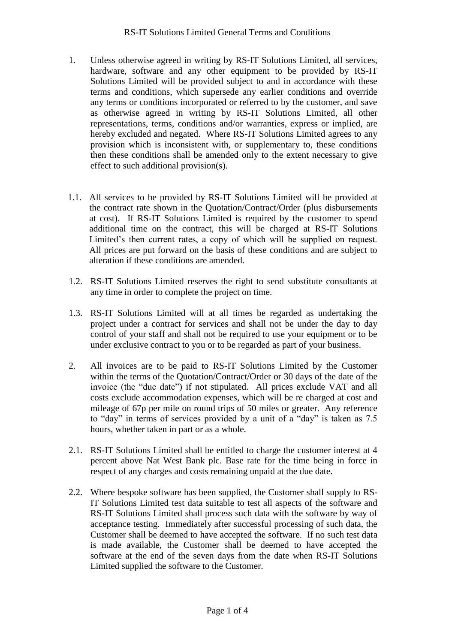- 1. Unless otherwise agreed in writing by RS-IT Solutions Limited, all services, hardware, software and any other equipment to be provided by RS-IT Solutions Limited will be provided subject to and in accordance with these terms and conditions, which supersede any earlier conditions and override any terms or conditions incorporated or referred to by the customer, and save as otherwise agreed in writing by RS-IT Solutions Limited, all other representations, terms, conditions and/or warranties, express or implied, are hereby excluded and negated. Where RS-IT Solutions Limited agrees to any provision which is inconsistent with, or supplementary to, these conditions then these conditions shall be amended only to the extent necessary to give effect to such additional provision(s).
- 1.1. All services to be provided by RS-IT Solutions Limited will be provided at the contract rate shown in the Quotation/Contract/Order (plus disbursements at cost). If RS-IT Solutions Limited is required by the customer to spend additional time on the contract, this will be charged at RS-IT Solutions Limited's then current rates, a copy of which will be supplied on request. All prices are put forward on the basis of these conditions and are subject to alteration if these conditions are amended.
- 1.2. RS-IT Solutions Limited reserves the right to send substitute consultants at any time in order to complete the project on time.
- 1.3. RS-IT Solutions Limited will at all times be regarded as undertaking the project under a contract for services and shall not be under the day to day control of your staff and shall not be required to use your equipment or to be under exclusive contract to you or to be regarded as part of your business.
- 2. All invoices are to be paid to RS-IT Solutions Limited by the Customer within the terms of the Quotation/Contract/Order or 30 days of the date of the invoice (the "due date") if not stipulated. All prices exclude VAT and all costs exclude accommodation expenses, which will be re charged at cost and mileage of 67p per mile on round trips of 50 miles or greater. Any reference to "day" in terms of services provided by a unit of a "day" is taken as 7.5 hours, whether taken in part or as a whole.
- 2.1. RS-IT Solutions Limited shall be entitled to charge the customer interest at 4 percent above Nat West Bank plc. Base rate for the time being in force in respect of any charges and costs remaining unpaid at the due date.
- 2.2. Where bespoke software has been supplied, the Customer shall supply to RS-IT Solutions Limited test data suitable to test all aspects of the software and RS-IT Solutions Limited shall process such data with the software by way of acceptance testing. Immediately after successful processing of such data, the Customer shall be deemed to have accepted the software. If no such test data is made available, the Customer shall be deemed to have accepted the software at the end of the seven days from the date when RS-IT Solutions Limited supplied the software to the Customer.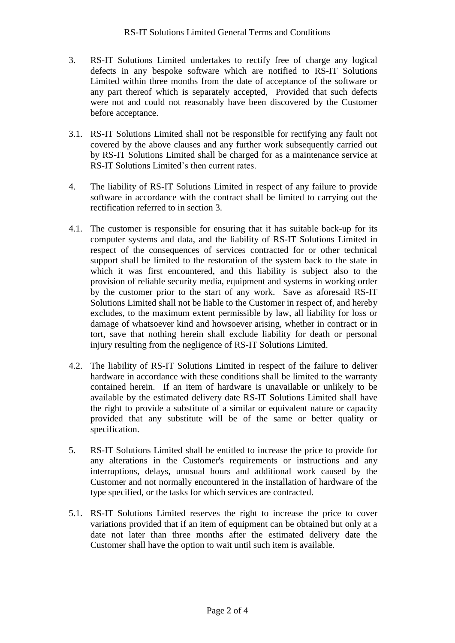- 3. RS-IT Solutions Limited undertakes to rectify free of charge any logical defects in any bespoke software which are notified to RS-IT Solutions Limited within three months from the date of acceptance of the software or any part thereof which is separately accepted, Provided that such defects were not and could not reasonably have been discovered by the Customer before acceptance.
- 3.1. RS-IT Solutions Limited shall not be responsible for rectifying any fault not covered by the above clauses and any further work subsequently carried out by RS-IT Solutions Limited shall be charged for as a maintenance service at RS-IT Solutions Limited's then current rates.
- 4. The liability of RS-IT Solutions Limited in respect of any failure to provide software in accordance with the contract shall be limited to carrying out the rectification referred to in section 3.
- 4.1. The customer is responsible for ensuring that it has suitable back-up for its computer systems and data, and the liability of RS-IT Solutions Limited in respect of the consequences of services contracted for or other technical support shall be limited to the restoration of the system back to the state in which it was first encountered, and this liability is subject also to the provision of reliable security media, equipment and systems in working order by the customer prior to the start of any work. Save as aforesaid RS-IT Solutions Limited shall not be liable to the Customer in respect of, and hereby excludes, to the maximum extent permissible by law, all liability for loss or damage of whatsoever kind and howsoever arising, whether in contract or in tort, save that nothing herein shall exclude liability for death or personal injury resulting from the negligence of RS-IT Solutions Limited.
- 4.2. The liability of RS-IT Solutions Limited in respect of the failure to deliver hardware in accordance with these conditions shall be limited to the warranty contained herein. If an item of hardware is unavailable or unlikely to be available by the estimated delivery date RS-IT Solutions Limited shall have the right to provide a substitute of a similar or equivalent nature or capacity provided that any substitute will be of the same or better quality or specification.
- 5. RS-IT Solutions Limited shall be entitled to increase the price to provide for any alterations in the Customer's requirements or instructions and any interruptions, delays, unusual hours and additional work caused by the Customer and not normally encountered in the installation of hardware of the type specified, or the tasks for which services are contracted.
- 5.1. RS-IT Solutions Limited reserves the right to increase the price to cover variations provided that if an item of equipment can be obtained but only at a date not later than three months after the estimated delivery date the Customer shall have the option to wait until such item is available.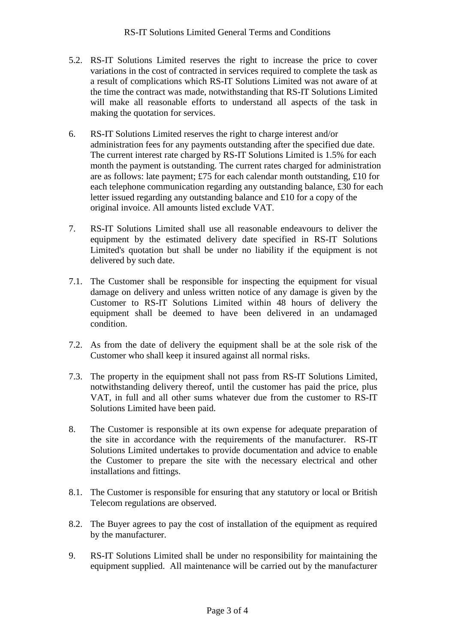- 5.2. RS-IT Solutions Limited reserves the right to increase the price to cover variations in the cost of contracted in services required to complete the task as a result of complications which RS-IT Solutions Limited was not aware of at the time the contract was made, notwithstanding that RS-IT Solutions Limited will make all reasonable efforts to understand all aspects of the task in making the quotation for services.
- 6. RS-IT Solutions Limited reserves the right to charge interest and/or administration fees for any payments outstanding after the specified due date. The current interest rate charged by RS-IT Solutions Limited is 1.5% for each month the payment is outstanding. The current rates charged for administration are as follows: late payment; £75 for each calendar month outstanding, £10 for each telephone communication regarding any outstanding balance, £30 for each letter issued regarding any outstanding balance and £10 for a copy of the original invoice. All amounts listed exclude VAT.
- 7. RS-IT Solutions Limited shall use all reasonable endeavours to deliver the equipment by the estimated delivery date specified in RS-IT Solutions Limited's quotation but shall be under no liability if the equipment is not delivered by such date.
- 7.1. The Customer shall be responsible for inspecting the equipment for visual damage on delivery and unless written notice of any damage is given by the Customer to RS-IT Solutions Limited within 48 hours of delivery the equipment shall be deemed to have been delivered in an undamaged condition.
- 7.2. As from the date of delivery the equipment shall be at the sole risk of the Customer who shall keep it insured against all normal risks.
- 7.3. The property in the equipment shall not pass from RS-IT Solutions Limited, notwithstanding delivery thereof, until the customer has paid the price, plus VAT, in full and all other sums whatever due from the customer to RS-IT Solutions Limited have been paid.
- 8. The Customer is responsible at its own expense for adequate preparation of the site in accordance with the requirements of the manufacturer. RS-IT Solutions Limited undertakes to provide documentation and advice to enable the Customer to prepare the site with the necessary electrical and other installations and fittings.
- 8.1. The Customer is responsible for ensuring that any statutory or local or British Telecom regulations are observed.
- 8.2. The Buyer agrees to pay the cost of installation of the equipment as required by the manufacturer.
- 9. RS-IT Solutions Limited shall be under no responsibility for maintaining the equipment supplied. All maintenance will be carried out by the manufacturer